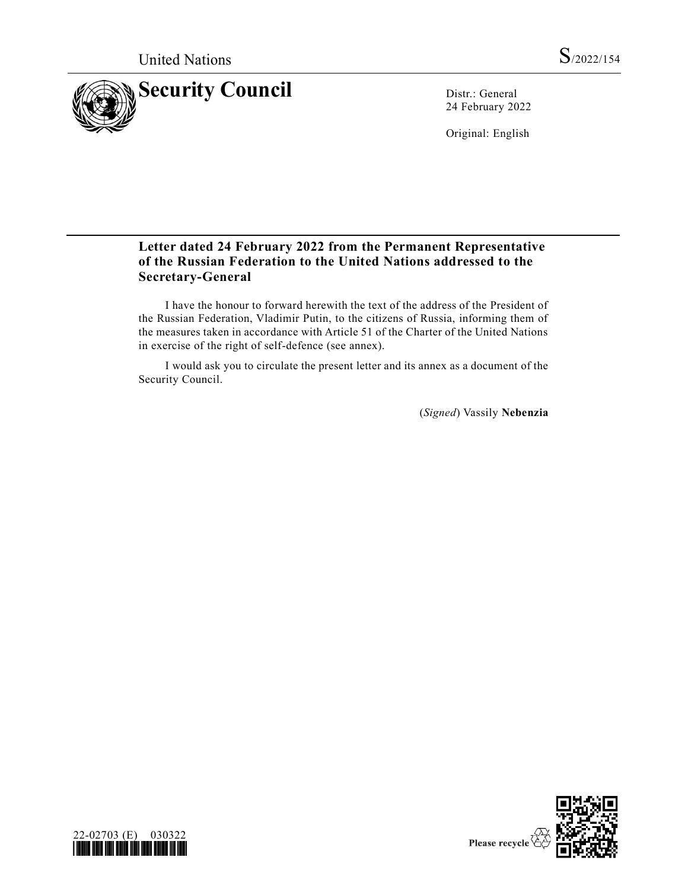

24 February 2022

Original: English

# **Letter dated 24 February 2022 from the Permanent Representative of the Russian Federation to the United Nations addressed to the Secretary-General**

I have the honour to forward herewith the text of the address of the President of the Russian Federation, Vladimir Putin, to the citizens of Russia, informing them of the measures taken in accordance with Article 51 of the Charter of the United Nations in exercise of the right of self-defence (see annex).

I would ask you to circulate the present letter and its annex as a document of the Security Council.

(*Signed*) Vassily **Nebenzia**



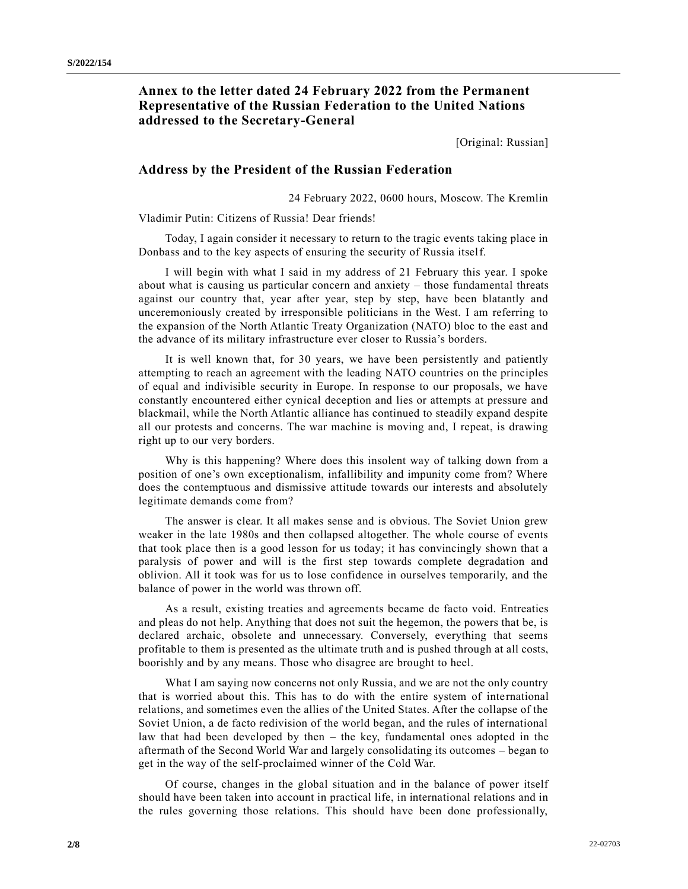## **Annex to the letter dated 24 February 2022 from the Permanent Representative of the Russian Federation to the United Nations addressed to the Secretary-General**

[Original: Russian]

### **Address by the President of the Russian Federation**

24 February 2022, 0600 hours, Moscow. The Kremlin

Vladimir Putin: Citizens of Russia! Dear friends!

Today, I again consider it necessary to return to the tragic events taking place in Donbass and to the key aspects of ensuring the security of Russia itself.

I will begin with what I said in my address of 21 February this year. I spoke about what is causing us particular concern and anxiety – those fundamental threats against our country that, year after year, step by step, have been blatantly and unceremoniously created by irresponsible politicians in the West. I am referring to the expansion of the North Atlantic Treaty Organization (NATO) bloc to the east and the advance of its military infrastructure ever closer to Russia's borders.

It is well known that, for 30 years, we have been persistently and patiently attempting to reach an agreement with the leading NATO countries on the principles of equal and indivisible security in Europe. In response to our proposals, we have constantly encountered either cynical deception and lies or attempts at pressure and blackmail, while the North Atlantic alliance has continued to steadily expand despite all our protests and concerns. The war machine is moving and, I repeat, is drawing right up to our very borders.

Why is this happening? Where does this insolent way of talking down from a position of one's own exceptionalism, infallibility and impunity come from? Where does the contemptuous and dismissive attitude towards our interests and absolutely legitimate demands come from?

The answer is clear. It all makes sense and is obvious. The Soviet Union grew weaker in the late 1980s and then collapsed altogether. The whole course of events that took place then is a good lesson for us today; it has convincingly shown that a paralysis of power and will is the first step towards complete degradation and oblivion. All it took was for us to lose confidence in ourselves temporarily, and the balance of power in the world was thrown off.

As a result, existing treaties and agreements became de facto void. Entreaties and pleas do not help. Anything that does not suit the hegemon, the powers that be, is declared archaic, obsolete and unnecessary. Conversely, everything that seems profitable to them is presented as the ultimate truth and is pushed through at all costs, boorishly and by any means. Those who disagree are brought to heel.

What I am saying now concerns not only Russia, and we are not the only country that is worried about this. This has to do with the entire system of international relations, and sometimes even the allies of the United States. After the collapse of the Soviet Union, a de facto redivision of the world began, and the rules of international law that had been developed by then – the key, fundamental ones adopted in the aftermath of the Second World War and largely consolidating its outcomes – began to get in the way of the self-proclaimed winner of the Cold War.

Of course, changes in the global situation and in the balance of power itself should have been taken into account in practical life, in international relations and in the rules governing those relations. This should have been done professionally,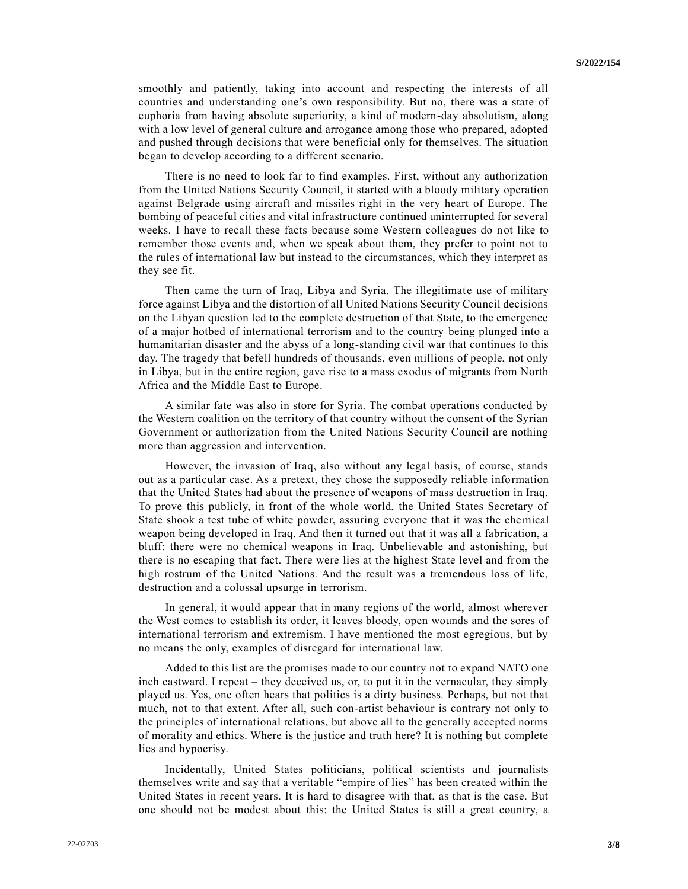smoothly and patiently, taking into account and respecting the interests of all countries and understanding one's own responsibility. But no, there was a state of euphoria from having absolute superiority, a kind of modern-day absolutism, along with a low level of general culture and arrogance among those who prepared, adopted and pushed through decisions that were beneficial only for themselves. The situation began to develop according to a different scenario.

There is no need to look far to find examples. First, without any authorization from the United Nations Security Council, it started with a bloody military operation against Belgrade using aircraft and missiles right in the very heart of Europe. The bombing of peaceful cities and vital infrastructure continued uninterrupted for several weeks. I have to recall these facts because some Western colleagues do not like to remember those events and, when we speak about them, they prefer to point not to the rules of international law but instead to the circumstances, which they interpret as they see fit.

Then came the turn of Iraq, Libya and Syria. The illegitimate use of military force against Libya and the distortion of all United Nations Security Council decisions on the Libyan question led to the complete destruction of that State, to the emergence of a major hotbed of international terrorism and to the country being plunged into a humanitarian disaster and the abyss of a long-standing civil war that continues to this day. The tragedy that befell hundreds of thousands, even millions of people, not only in Libya, but in the entire region, gave rise to a mass exodus of migrants from North Africa and the Middle East to Europe.

A similar fate was also in store for Syria. The combat operations conducted by the Western coalition on the territory of that country without the consent of the Syrian Government or authorization from the United Nations Security Council are nothing more than aggression and intervention.

However, the invasion of Iraq, also without any legal basis, of course, stands out as a particular case. As a pretext, they chose the supposedly reliable information that the United States had about the presence of weapons of mass destruction in Iraq. To prove this publicly, in front of the whole world, the United States Secretary of State shook a test tube of white powder, assuring everyone that it was the chemical weapon being developed in Iraq. And then it turned out that it was all a fabrication, a bluff: there were no chemical weapons in Iraq. Unbelievable and astonishing, but there is no escaping that fact. There were lies at the highest State level and from the high rostrum of the United Nations. And the result was a tremendous loss of life, destruction and a colossal upsurge in terrorism.

In general, it would appear that in many regions of the world, almost wherever the West comes to establish its order, it leaves bloody, open wounds and the sores of international terrorism and extremism. I have mentioned the most egregious, but by no means the only, examples of disregard for international law.

Added to this list are the promises made to our country not to expand NATO one inch eastward. I repeat – they deceived us, or, to put it in the vernacular, they simply played us. Yes, one often hears that politics is a dirty business. Perhaps, but not that much, not to that extent. After all, such con-artist behaviour is contrary not only to the principles of international relations, but above all to the generally accepted norms of morality and ethics. Where is the justice and truth here? It is nothing but complete lies and hypocrisy.

Incidentally, United States politicians, political scientists and journalists themselves write and say that a veritable "empire of lies" has been created within the United States in recent years. It is hard to disagree with that, as that is the case. But one should not be modest about this: the United States is still a great country, a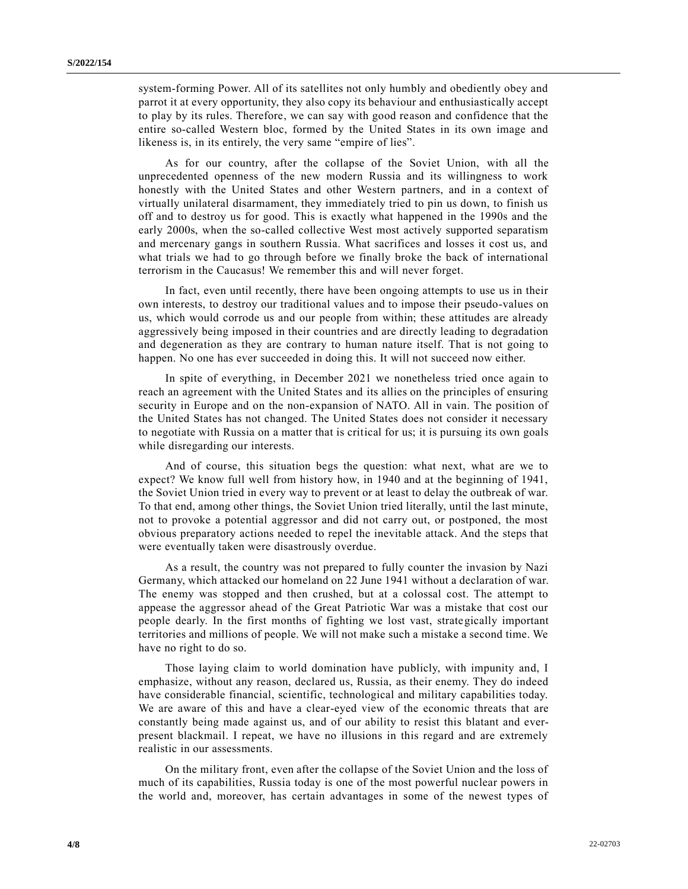system-forming Power. All of its satellites not only humbly and obediently obey and parrot it at every opportunity, they also copy its behaviour and enthusiastically accept to play by its rules. Therefore, we can say with good reason and confidence that the entire so-called Western bloc, formed by the United States in its own image and likeness is, in its entirely, the very same "empire of lies".

As for our country, after the collapse of the Soviet Union, with all the unprecedented openness of the new modern Russia and its willingness to work honestly with the United States and other Western partners, and in a context of virtually unilateral disarmament, they immediately tried to pin us down, to finish us off and to destroy us for good. This is exactly what happened in the 1990s and the early 2000s, when the so-called collective West most actively supported separatism and mercenary gangs in southern Russia. What sacrifices and losses it cost us, and what trials we had to go through before we finally broke the back of international terrorism in the Caucasus! We remember this and will never forget.

In fact, even until recently, there have been ongoing attempts to use us in their own interests, to destroy our traditional values and to impose their pseudo-values on us, which would corrode us and our people from within; these attitudes are already aggressively being imposed in their countries and are directly leading to degradation and degeneration as they are contrary to human nature itself. That is not going to happen. No one has ever succeeded in doing this. It will not succeed now either.

In spite of everything, in December 2021 we nonetheless tried once again to reach an agreement with the United States and its allies on the principles of ensuring security in Europe and on the non-expansion of NATO. All in vain. The position of the United States has not changed. The United States does not consider it necessary to negotiate with Russia on a matter that is critical for us; it is pursuing its own goals while disregarding our interests.

And of course, this situation begs the question: what next, what are we to expect? We know full well from history how, in 1940 and at the beginning of 1941, the Soviet Union tried in every way to prevent or at least to delay the outbreak of war. To that end, among other things, the Soviet Union tried literally, until the last minute, not to provoke a potential aggressor and did not carry out, or postponed, the most obvious preparatory actions needed to repel the inevitable attack. And the steps that were eventually taken were disastrously overdue.

As a result, the country was not prepared to fully counter the invasion by Nazi Germany, which attacked our homeland on 22 June 1941 without a declaration of war. The enemy was stopped and then crushed, but at a colossal cost. The attempt to appease the aggressor ahead of the Great Patriotic War was a mistake that cost our people dearly. In the first months of fighting we lost vast, strategically important territories and millions of people. We will not make such a mistake a second time. We have no right to do so.

Those laying claim to world domination have publicly, with impunity and, I emphasize, without any reason, declared us, Russia, as their enemy. They do indeed have considerable financial, scientific, technological and military capabilities today. We are aware of this and have a clear-eyed view of the economic threats that are constantly being made against us, and of our ability to resist this blatant and everpresent blackmail. I repeat, we have no illusions in this regard and are extremely realistic in our assessments.

On the military front, even after the collapse of the Soviet Union and the loss of much of its capabilities, Russia today is one of the most powerful nuclear powers in the world and, moreover, has certain advantages in some of the newest types of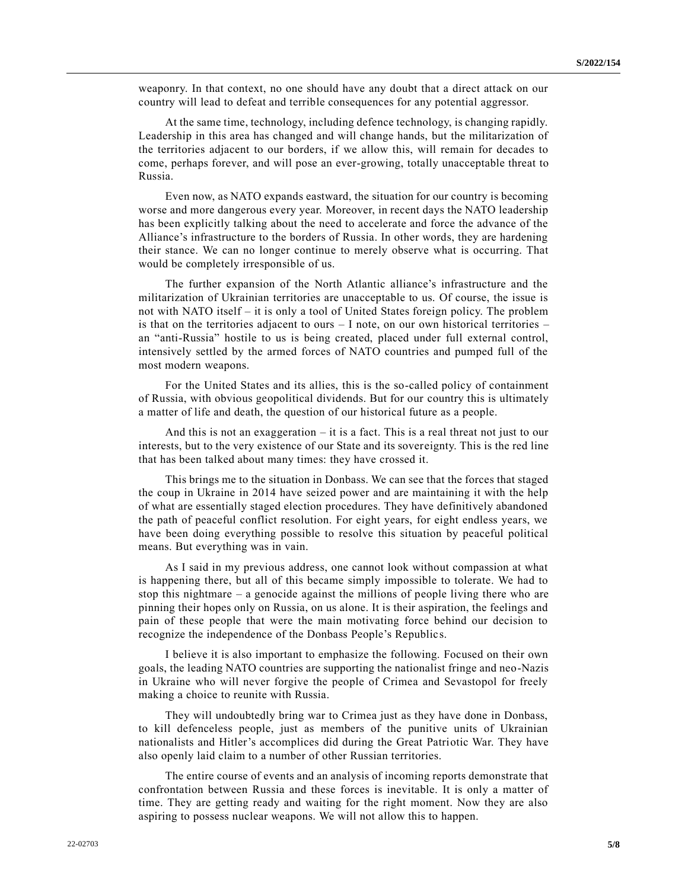weaponry. In that context, no one should have any doubt that a direct attack on our country will lead to defeat and terrible consequences for any potential aggressor.

At the same time, technology, including defence technology, is changing rapidly. Leadership in this area has changed and will change hands, but the militarization of the territories adjacent to our borders, if we allow this, will remain for decades to come, perhaps forever, and will pose an ever-growing, totally unacceptable threat to Russia.

Even now, as NATO expands eastward, the situation for our country is becoming worse and more dangerous every year. Moreover, in recent days the NATO leadership has been explicitly talking about the need to accelerate and force the advance of the Alliance's infrastructure to the borders of Russia. In other words, they are hardening their stance. We can no longer continue to merely observe what is occurring. That would be completely irresponsible of us.

The further expansion of the North Atlantic alliance's infrastructure and the militarization of Ukrainian territories are unacceptable to us. Of course, the issue is not with NATO itself – it is only a tool of United States foreign policy. The problem is that on the territories adjacent to ours  $-1$  note, on our own historical territories – an "anti-Russia" hostile to us is being created, placed under full external control, intensively settled by the armed forces of NATO countries and pumped full of the most modern weapons.

For the United States and its allies, this is the so-called policy of containment of Russia, with obvious geopolitical dividends. But for our country this is ultimately a matter of life and death, the question of our historical future as a people.

And this is not an exaggeration – it is a fact. This is a real threat not just to our interests, but to the very existence of our State and its sovereignty. This is the red line that has been talked about many times: they have crossed it.

This brings me to the situation in Donbass. We can see that the forces that staged the coup in Ukraine in 2014 have seized power and are maintaining it with the help of what are essentially staged election procedures. They have definitively abandoned the path of peaceful conflict resolution. For eight years, for eight endless years, we have been doing everything possible to resolve this situation by peaceful political means. But everything was in vain.

As I said in my previous address, one cannot look without compassion at what is happening there, but all of this became simply impossible to tolerate. We had to stop this nightmare – a genocide against the millions of people living there who are pinning their hopes only on Russia, on us alone. It is their aspiration, the feelings and pain of these people that were the main motivating force behind our decision to recognize the independence of the Donbass People's Republics.

I believe it is also important to emphasize the following. Focused on their own goals, the leading NATO countries are supporting the nationalist fringe and neo-Nazis in Ukraine who will never forgive the people of Crimea and Sevastopol for freely making a choice to reunite with Russia.

They will undoubtedly bring war to Crimea just as they have done in Donbass, to kill defenceless people, just as members of the punitive units of Ukrainian nationalists and Hitler's accomplices did during the Great Patriotic War. They have also openly laid claim to a number of other Russian territories.

The entire course of events and an analysis of incoming reports demonstrate that confrontation between Russia and these forces is inevitable. It is only a matter of time. They are getting ready and waiting for the right moment. Now they are also aspiring to possess nuclear weapons. We will not allow this to happen.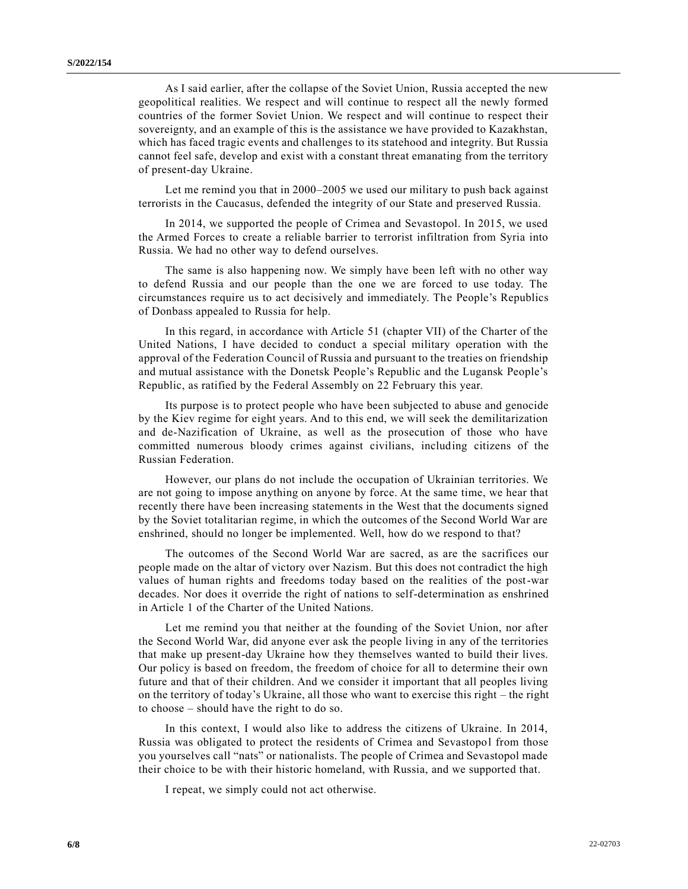As I said earlier, after the collapse of the Soviet Union, Russia accepted the new geopolitical realities. We respect and will continue to respect all the newly formed countries of the former Soviet Union. We respect and will continue to respect their sovereignty, and an example of this is the assistance we have provided to Kazakhstan, which has faced tragic events and challenges to its statehood and integrity. But Russia cannot feel safe, develop and exist with a constant threat emanating from the territory of present-day Ukraine.

Let me remind you that in 2000–2005 we used our military to push back against terrorists in the Caucasus, defended the integrity of our State and preserved Russia.

In 2014, we supported the people of Crimea and Sevastopol. In 2015, we used the Armed Forces to create a reliable barrier to terrorist infiltration from Syria into Russia. We had no other way to defend ourselves.

The same is also happening now. We simply have been left with no other way to defend Russia and our people than the one we are forced to use today. The circumstances require us to act decisively and immediately. The People's Republics of Donbass appealed to Russia for help.

In this regard, in accordance with Article 51 (chapter VII) of the Charter of the United Nations, I have decided to conduct a special military operation with the approval of the Federation Council of Russia and pursuant to the treaties on friendship and mutual assistance with the Donetsk People's Republic and the Lugansk People's Republic, as ratified by the Federal Assembly on 22 February this year.

Its purpose is to protect people who have been subjected to abuse and genocide by the Kiev regime for eight years. And to this end, we will seek the demilitarization and de-Nazification of Ukraine, as well as the prosecution of those who have committed numerous bloody crimes against civilians, including citizens of the Russian Federation.

However, our plans do not include the occupation of Ukrainian territories. We are not going to impose anything on anyone by force. At the same time, we hear that recently there have been increasing statements in the West that the documents signed by the Soviet totalitarian regime, in which the outcomes of the Second World War are enshrined, should no longer be implemented. Well, how do we respond to that?

The outcomes of the Second World War are sacred, as are the sacrifices our people made on the altar of victory over Nazism. But this does not contradict the high values of human rights and freedoms today based on the realities of the post-war decades. Nor does it override the right of nations to self-determination as enshrined in Article 1 of the Charter of the United Nations.

Let me remind you that neither at the founding of the Soviet Union, nor after the Second World War, did anyone ever ask the people living in any of the territories that make up present-day Ukraine how they themselves wanted to build their lives. Our policy is based on freedom, the freedom of choice for all to determine their own future and that of their children. And we consider it important that all peoples living on the territory of today's Ukraine, all those who want to exercise this right – the right to choose – should have the right to do so.

In this context, I would also like to address the citizens of Ukraine. In 2014, Russia was obligated to protect the residents of Crimea and Sevastopol from those you yourselves call "nats" or nationalists. The people of Crimea and Sevastopol made their choice to be with their historic homeland, with Russia, and we supported that.

I repeat, we simply could not act otherwise.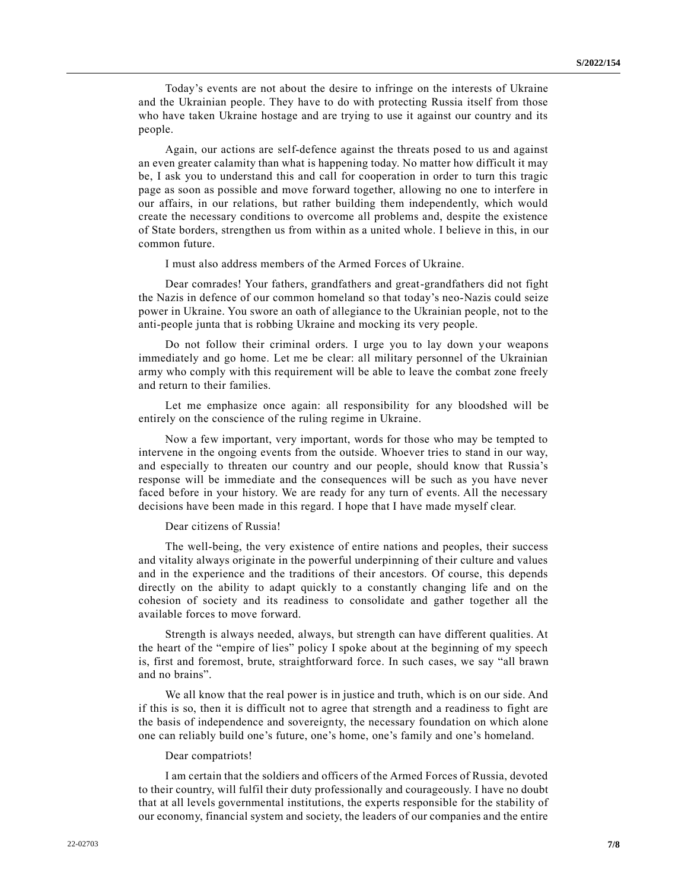Today's events are not about the desire to infringe on the interests of Ukraine and the Ukrainian people. They have to do with protecting Russia itself from those who have taken Ukraine hostage and are trying to use it against our country and its people.

Again, our actions are self-defence against the threats posed to us and against an even greater calamity than what is happening today. No matter how difficult it may be, I ask you to understand this and call for cooperation in order to turn this tragic page as soon as possible and move forward together, allowing no one to interfere in our affairs, in our relations, but rather building them independently, which would create the necessary conditions to overcome all problems and, despite the existence of State borders, strengthen us from within as a united whole. I believe in this, in our common future.

I must also address members of the Armed Forces of Ukraine.

Dear comrades! Your fathers, grandfathers and great-grandfathers did not fight the Nazis in defence of our common homeland so that today's neo-Nazis could seize power in Ukraine. You swore an oath of allegiance to the Ukrainian people, not to the anti-people junta that is robbing Ukraine and mocking its very people.

Do not follow their criminal orders. I urge you to lay down your weapons immediately and go home. Let me be clear: all military personnel of the Ukrainian army who comply with this requirement will be able to leave the combat zone freely and return to their families.

Let me emphasize once again: all responsibility for any bloodshed will be entirely on the conscience of the ruling regime in Ukraine.

Now a few important, very important, words for those who may be tempted to intervene in the ongoing events from the outside. Whoever tries to stand in our way, and especially to threaten our country and our people, should know that Russia's response will be immediate and the consequences will be such as you have never faced before in your history. We are ready for any turn of events. All the necessary decisions have been made in this regard. I hope that I have made myself clear.

#### Dear citizens of Russia!

The well-being, the very existence of entire nations and peoples, their success and vitality always originate in the powerful underpinning of their culture and values and in the experience and the traditions of their ancestors. Of course, this depends directly on the ability to adapt quickly to a constantly changing life and on the cohesion of society and its readiness to consolidate and gather together all the available forces to move forward.

Strength is always needed, always, but strength can have different qualities. At the heart of the "empire of lies" policy I spoke about at the beginning of my speech is, first and foremost, brute, straightforward force. In such cases, we say "all brawn and no brains".

We all know that the real power is in justice and truth, which is on our side. And if this is so, then it is difficult not to agree that strength and a readiness to fight are the basis of independence and sovereignty, the necessary foundation on which alone one can reliably build one's future, one's home, one's family and one's homeland.

#### Dear compatriots!

I am certain that the soldiers and officers of the Armed Forces of Russia, devoted to their country, will fulfil their duty professionally and courageously. I have no doubt that at all levels governmental institutions, the experts responsible for the stability of our economy, financial system and society, the leaders of our companies and the entire